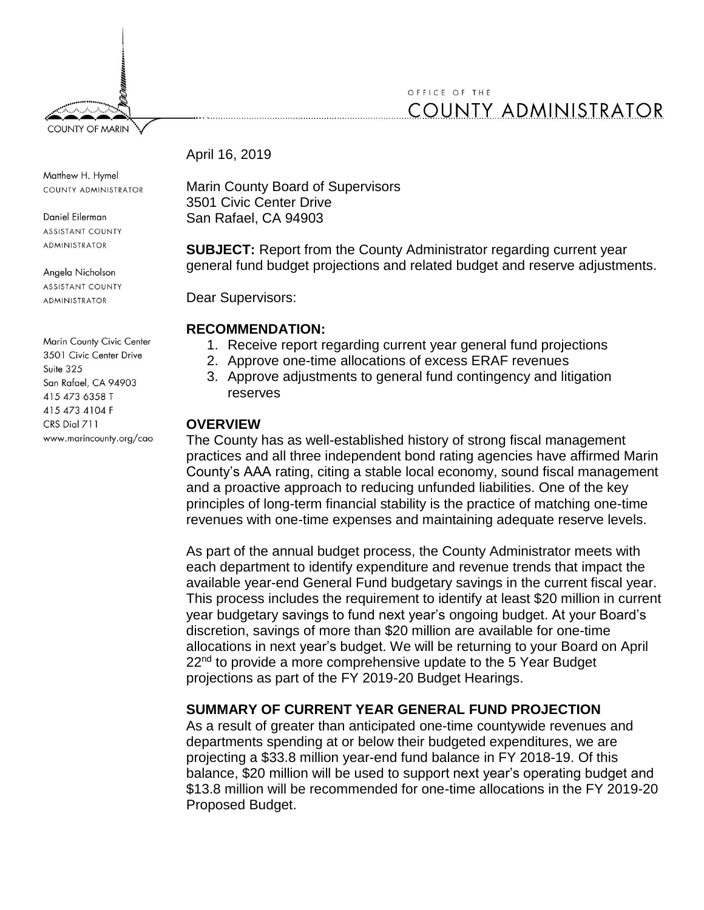

#### April 16, 2019

Matthew H. Hymel COUNTY ADMINISTRATOR

**COUNTY OF MARIN** 

Daniel Eilerman **ASSISTANT COUNTY** ADMINISTRATOR

Angela Nicholson **ASSISTANT COUNTY ADMINISTRATOR** 

Marin County Civic Center 3501 Civic Center Drive Suite 325 San Rafael, CA 94903 415 473 6358 T 415 473 4104 F CRS Dial 711 www.marincounty.org/cao Marin County Board of Supervisors 3501 Civic Center Drive San Rafael, CA 94903

**SUBJECT:** Report from the County Administrator regarding current year general fund budget projections and related budget and reserve adjustments.

Dear Supervisors:

## **RECOMMENDATION:**

- 1. Receive report regarding current year general fund projections
- 2. Approve one-time allocations of excess ERAF revenues
- 3. Approve adjustments to general fund contingency and litigation reserves

# **OVERVIEW**

The County has as well-established history of strong fiscal management practices and all three independent bond rating agencies have affirmed Marin County's AAA rating, citing a stable local economy, sound fiscal management and a proactive approach to reducing unfunded liabilities. One of the key principles of long-term financial stability is the practice of matching one-time revenues with one-time expenses and maintaining adequate reserve levels.

As part of the annual budget process, the County Administrator meets with each department to identify expenditure and revenue trends that impact the available year-end General Fund budgetary savings in the current fiscal year. This process includes the requirement to identify at least \$20 million in current year budgetary savings to fund next year's ongoing budget. At your Board's discretion, savings of more than \$20 million are available for one-time allocations in next year's budget. We will be returning to your Board on April  $22<sup>nd</sup>$  to provide a more comprehensive update to the 5 Year Budget projections as part of the FY 2019-20 Budget Hearings.

# **SUMMARY OF CURRENT YEAR GENERAL FUND PROJECTION**

As a result of greater than anticipated one-time countywide revenues and departments spending at or below their budgeted expenditures, we are projecting a \$33.8 million year-end fund balance in FY 2018-19. Of this balance, \$20 million will be used to support next year's operating budget and \$13.8 million will be recommended for one-time allocations in the FY 2019-20 Proposed Budget.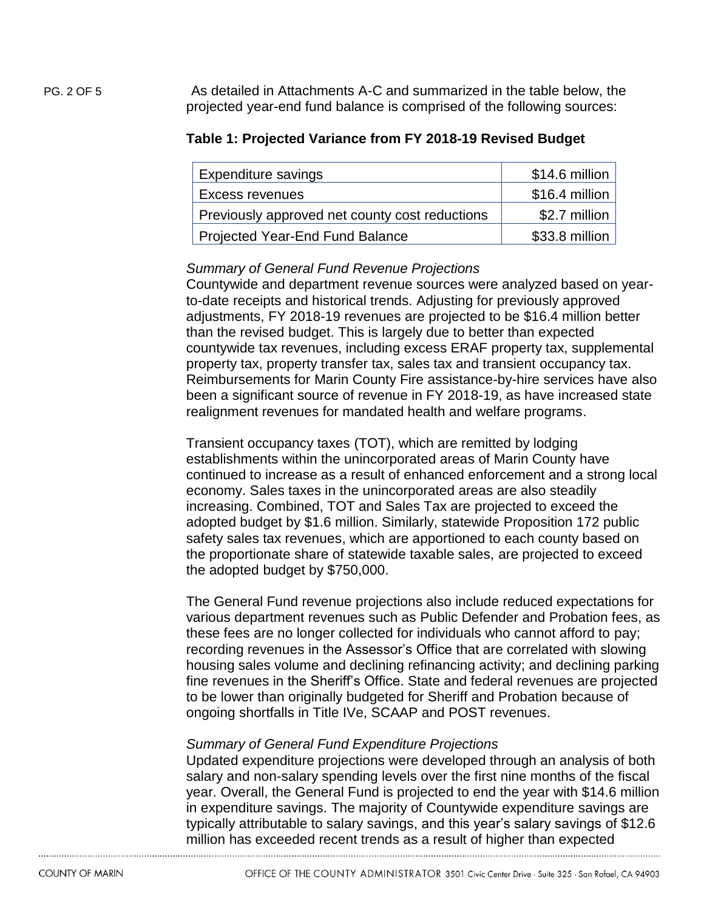PG. 2 OF 5 As detailed in Attachments A-C and summarized in the table below, the projected year-end fund balance is comprised of the following sources:

#### **Table 1: Projected Variance from FY 2018-19 Revised Budget**

| Expenditure savings                            | \$14.6 million |
|------------------------------------------------|----------------|
| Excess revenues                                | \$16.4 million |
| Previously approved net county cost reductions | \$2.7 million  |
| <b>Projected Year-End Fund Balance</b>         | \$33.8 million |

## *Summary of General Fund Revenue Projections*

Countywide and department revenue sources were analyzed based on yearto-date receipts and historical trends. Adjusting for previously approved adjustments, FY 2018-19 revenues are projected to be \$16.4 million better than the revised budget. This is largely due to better than expected countywide tax revenues, including excess ERAF property tax, supplemental property tax, property transfer tax, sales tax and transient occupancy tax. Reimbursements for Marin County Fire assistance-by-hire services have also been a significant source of revenue in FY 2018-19, as have increased state realignment revenues for mandated health and welfare programs.

Transient occupancy taxes (TOT), which are remitted by lodging establishments within the unincorporated areas of Marin County have continued to increase as a result of enhanced enforcement and a strong local economy. Sales taxes in the unincorporated areas are also steadily increasing. Combined, TOT and Sales Tax are projected to exceed the adopted budget by \$1.6 million. Similarly, statewide Proposition 172 public safety sales tax revenues, which are apportioned to each county based on the proportionate share of statewide taxable sales, are projected to exceed the adopted budget by \$750,000.

The General Fund revenue projections also include reduced expectations for various department revenues such as Public Defender and Probation fees, as these fees are no longer collected for individuals who cannot afford to pay; recording revenues in the Assessor's Office that are correlated with slowing housing sales volume and declining refinancing activity; and declining parking fine revenues in the Sheriff's Office. State and federal revenues are projected to be lower than originally budgeted for Sheriff and Probation because of ongoing shortfalls in Title IVe, SCAAP and POST revenues.

## *Summary of General Fund Expenditure Projections*

Updated expenditure projections were developed through an analysis of both salary and non-salary spending levels over the first nine months of the fiscal year. Overall, the General Fund is projected to end the year with \$14.6 million in expenditure savings. The majority of Countywide expenditure savings are typically attributable to salary savings, and this year's salary savings of \$12.6 million has exceeded recent trends as a result of higher than expected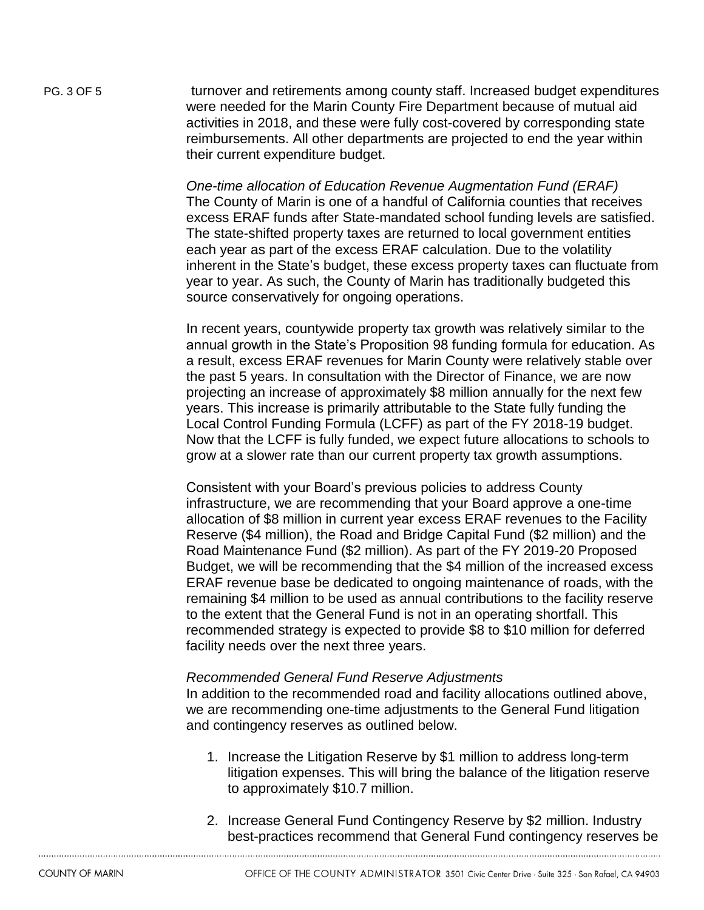PG. 3 OF 5 turnover and retirements among county staff. Increased budget expenditures were needed for the Marin County Fire Department because of mutual aid activities in 2018, and these were fully cost-covered by corresponding state reimbursements. All other departments are projected to end the year within their current expenditure budget.

> *One-time allocation of Education Revenue Augmentation Fund (ERAF)* The County of Marin is one of a handful of California counties that receives excess ERAF funds after State-mandated school funding levels are satisfied. The state-shifted property taxes are returned to local government entities each year as part of the excess ERAF calculation. Due to the volatility inherent in the State's budget, these excess property taxes can fluctuate from year to year. As such, the County of Marin has traditionally budgeted this source conservatively for ongoing operations.

> In recent years, countywide property tax growth was relatively similar to the annual growth in the State's Proposition 98 funding formula for education. As a result, excess ERAF revenues for Marin County were relatively stable over the past 5 years. In consultation with the Director of Finance, we are now projecting an increase of approximately \$8 million annually for the next few years. This increase is primarily attributable to the State fully funding the Local Control Funding Formula (LCFF) as part of the FY 2018-19 budget. Now that the LCFF is fully funded, we expect future allocations to schools to grow at a slower rate than our current property tax growth assumptions.

> Consistent with your Board's previous policies to address County infrastructure, we are recommending that your Board approve a one-time allocation of \$8 million in current year excess ERAF revenues to the Facility Reserve (\$4 million), the Road and Bridge Capital Fund (\$2 million) and the Road Maintenance Fund (\$2 million). As part of the FY 2019-20 Proposed Budget, we will be recommending that the \$4 million of the increased excess ERAF revenue base be dedicated to ongoing maintenance of roads, with the remaining \$4 million to be used as annual contributions to the facility reserve to the extent that the General Fund is not in an operating shortfall. This recommended strategy is expected to provide \$8 to \$10 million for deferred facility needs over the next three years.

#### *Recommended General Fund Reserve Adjustments*

In addition to the recommended road and facility allocations outlined above, we are recommending one-time adjustments to the General Fund litigation and contingency reserves as outlined below.

- 1. Increase the Litigation Reserve by \$1 million to address long-term litigation expenses. This will bring the balance of the litigation reserve to approximately \$10.7 million.
- 2. Increase General Fund Contingency Reserve by \$2 million. Industry best-practices recommend that General Fund contingency reserves be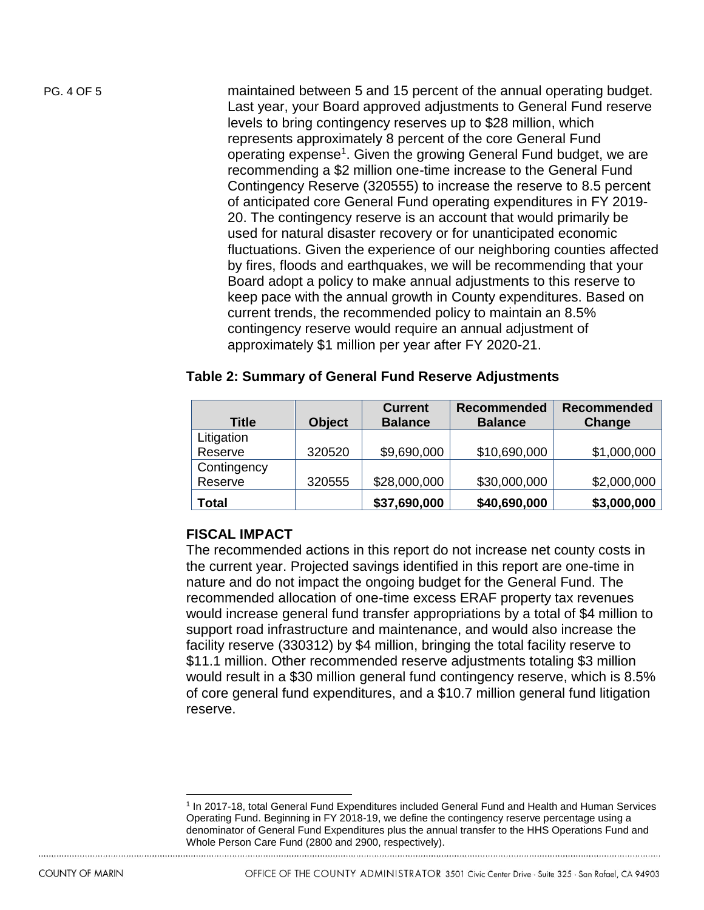PG. 4 OF 5 maintained between 5 and 15 percent of the annual operating budget. Last year, your Board approved adjustments to General Fund reserve levels to bring contingency reserves up to \$28 million, which represents approximately 8 percent of the core General Fund operating expense<sup>1</sup>. Given the growing General Fund budget, we are recommending a \$2 million one-time increase to the General Fund Contingency Reserve (320555) to increase the reserve to 8.5 percent of anticipated core General Fund operating expenditures in FY 2019- 20. The contingency reserve is an account that would primarily be used for natural disaster recovery or for unanticipated economic fluctuations. Given the experience of our neighboring counties affected by fires, floods and earthquakes, we will be recommending that your Board adopt a policy to make annual adjustments to this reserve to keep pace with the annual growth in County expenditures. Based on

current trends, the recommended policy to maintain an 8.5% contingency reserve would require an annual adjustment of approximately \$1 million per year after FY 2020-21.

## **Table 2: Summary of General Fund Reserve Adjustments**

| <b>Title</b> | <b>Object</b> | <b>Current</b><br><b>Balance</b> | <b>Recommended</b><br><b>Balance</b> | <b>Recommended</b><br>Change |
|--------------|---------------|----------------------------------|--------------------------------------|------------------------------|
| Litigation   |               |                                  |                                      |                              |
| Reserve      | 320520        | \$9,690,000                      | \$10,690,000                         | \$1,000,000                  |
| Contingency  |               |                                  |                                      |                              |
| Reserve      | 320555        | \$28,000,000                     | \$30,000,000                         | \$2,000,000                  |
| Total        |               | \$37,690,000                     | \$40,690,000                         | \$3,000,000                  |

## **FISCAL IMPACT**

The recommended actions in this report do not increase net county costs in the current year. Projected savings identified in this report are one-time in nature and do not impact the ongoing budget for the General Fund. The recommended allocation of one-time excess ERAF property tax revenues would increase general fund transfer appropriations by a total of \$4 million to support road infrastructure and maintenance, and would also increase the facility reserve (330312) by \$4 million, bringing the total facility reserve to \$11.1 million. Other recommended reserve adjustments totaling \$3 million would result in a \$30 million general fund contingency reserve, which is 8.5% of core general fund expenditures, and a \$10.7 million general fund litigation reserve.

 $\overline{a}$ <sup>1</sup> In 2017-18, total General Fund Expenditures included General Fund and Health and Human Services Operating Fund. Beginning in FY 2018-19, we define the contingency reserve percentage using a denominator of General Fund Expenditures plus the annual transfer to the HHS Operations Fund and Whole Person Care Fund (2800 and 2900, respectively).